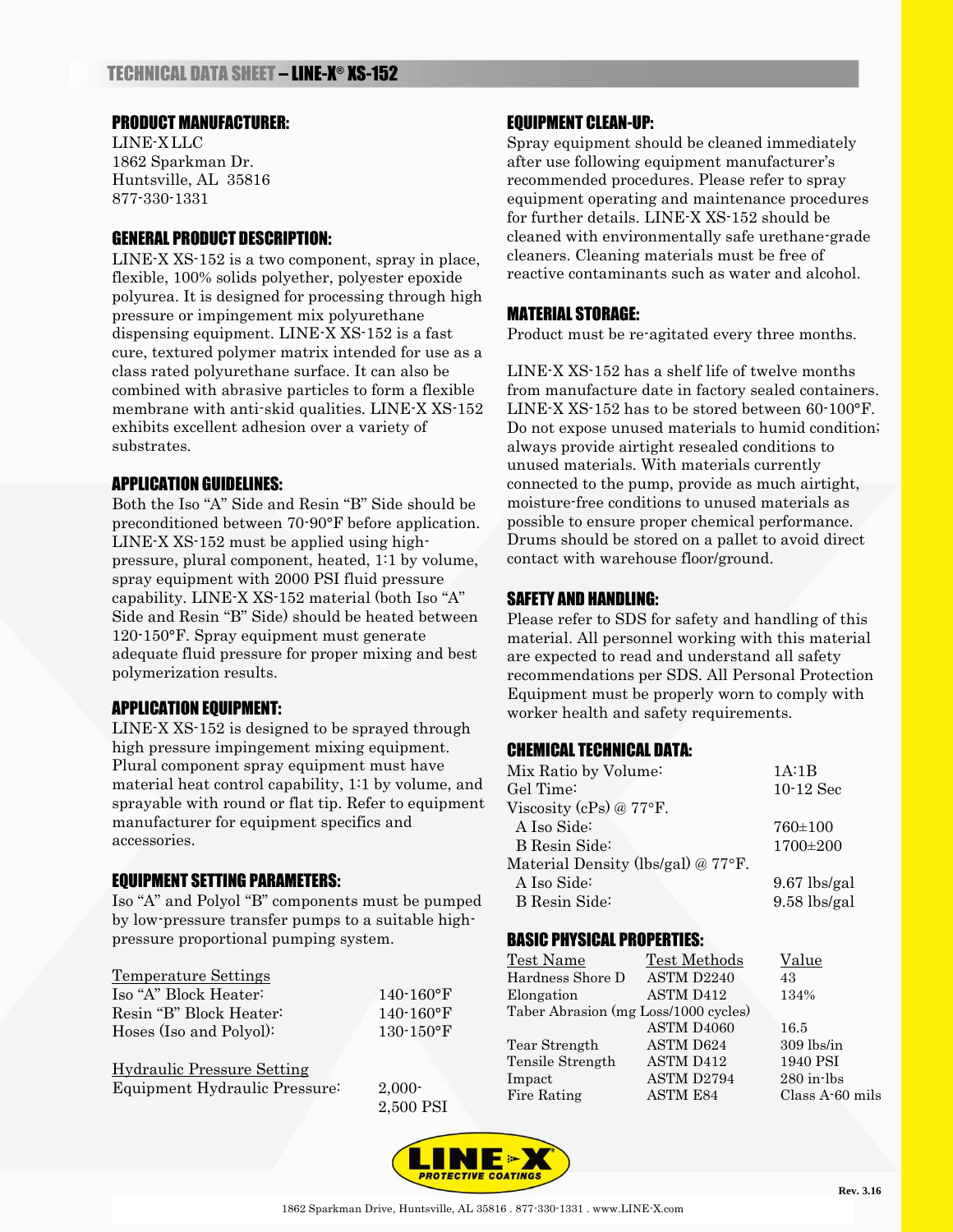## PRODUCT MANUFACTURER:

LINE-X LLC 1862 Sparkman Dr. Huntsville, AL 35816 877-330-1331

## GENERAL PRODUCT DESCRIPTION:

LINE-X XS-152 is a two component, spray in place, flexible, 100% solids polyether, polyester epoxide polyurea. It is designed for processing through high pressure or impingement mix polyurethane dispensing equipment. LINE-X XS-152 is a fast cure, textured polymer matrix intended for use as a class rated polyurethane surface. It can also be combined with abrasive particles to form a flexible membrane with anti-skid qualities. LINE-X XS-152 exhibits excellent adhesion over a variety of substrates.

## APPLICATION GUIDELINES:

Both the Iso "A" Side and Resin "B" Side should be preconditioned between 70-90°F before application. LINE-X XS-152 must be applied using highpressure, plural component, heated, 1:1 by volume, spray equipment with 2000 PSI fluid pressure capability. LINE-X XS-152 material (both Iso "A" Side and Resin "B" Side) should be heated between 120-150°F. Spray equipment must generate adequate fluid pressure for proper mixing and best polymerization results.

# APPLICATION EQUIPMENT:

LINE-X XS-152 is designed to be sprayed through high pressure impingement mixing equipment. Plural component spray equipment must have material heat control capability, 1:1 by volume, and sprayable with round or flat tip. Refer to equipment manufacturer for equipment specifics and accessories.

### EQUIPMENT SETTING PARAMETERS:

Iso "A" and Polyol "B" components must be pumped by low-pressure transfer pumps to a suitable highpressure proportional pumping system.

### Temperature Settings

| Iso "A" Block Heater:   | $140 - 160$ °F |
|-------------------------|----------------|
| Resin "B" Block Heater: | $140 - 160$ °F |
| Hoses (Iso and Polyol): | $130 - 150$ °F |

| Hydraulic Pressure Setting    |  |
|-------------------------------|--|
| Equipment Hydraulic Pressure: |  |

 $2,000-$ 2,500 PSI

# EQUIPMENT CLEAN-UP:

Spray equipment should be cleaned immediately after use following equipment manufacturer's recommended procedures. Please refer to spray equipment operating and maintenance procedures for further details. LINE-X XS-152 should be cleaned with environmentally safe urethane-grade cleaners. Cleaning materials must be free of reactive contaminants such as water and alcohol.

# MATERIAL STORAGE:

Product must be re-agitated every three months.

LINE-X XS-152 has a shelf life of twelve months from manufacture date in factory sealed containers. LINE-X XS-152 has to be stored between 60-100°F. Do not expose unused materials to humid condition; always provide airtight resealed conditions to unused materials. With materials currently connected to the pump, provide as much airtight, moisture-free conditions to unused materials as possible to ensure proper chemical performance. Drums should be stored on a pallet to avoid direct contact with warehouse floor/ground.

## SAFETY AND HANDLING:

Please refer to SDS for safety and handling of this material. All personnel working with this material are expected to read and understand all safety recommendations per SDS. All Personal Protection Equipment must be properly worn to comply with worker health and safety requirements.

# CHEMICAL TECHNICAL DATA:

| Mix Ratio by Volume:                         | 1A:1B          |
|----------------------------------------------|----------------|
| Gel Time:                                    | $10-12$ Sec    |
| Viscosity (cPs) @ $77^{\circ}$ F.            |                |
| A Iso Side:                                  | $760 \pm 100$  |
| <b>B</b> Resin Side:                         | 1700±200       |
| Material Density (lbs/gal) $@ 77^{\circ}$ F. |                |
| A Iso Side:                                  | $9.67$ lbs/gal |
| B Resin Side:                                | $9.58$ lbs/gal |

# BASIC PHYSICAL PROPERTIES:

| Test Name                            | <b>Test Methods</b> | Value           |
|--------------------------------------|---------------------|-----------------|
| Hardness Shore D                     | ASTM D2240          | 43              |
| Elongation                           | <b>ASTM D412</b>    | 134%            |
| Taber Abrasion (mg Loss/1000 cycles) |                     |                 |
|                                      | ASTM D4060          | 16.5            |
| Tear Strength                        | ASTM D624           | $309$ lbs/in    |
| Tensile Strength                     | ASTM D412           | 1940 PSI        |
| Impact                               | ASTM D2794          | $280$ in-lbs    |
| Fire Rating                          | <b>ASTM E84</b>     | Class A-60 mils |